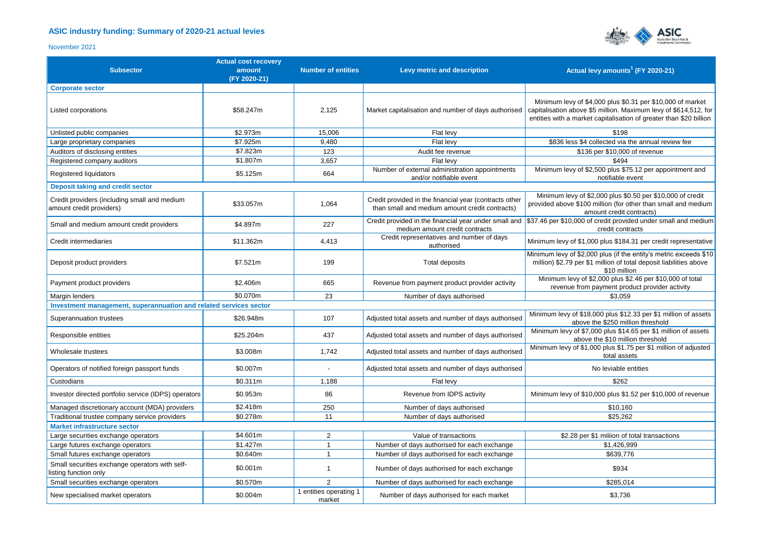## **ASIC industry funding: Summary of 2020-21 actual levies**



## November 2021

| <b>Subsector</b>                                                         | <b>Actual cost recovery</b><br>amount<br>(FY 2020-21) | <b>Number of entities</b>        | Levy metric and description                                                                              | Actual levy amounts <sup>1</sup> (FY 2020-21)                                                                                                                                                        |  |  |  |
|--------------------------------------------------------------------------|-------------------------------------------------------|----------------------------------|----------------------------------------------------------------------------------------------------------|------------------------------------------------------------------------------------------------------------------------------------------------------------------------------------------------------|--|--|--|
| <b>Corporate sector</b>                                                  |                                                       |                                  |                                                                                                          |                                                                                                                                                                                                      |  |  |  |
| Listed corporations                                                      | \$58.247m                                             | 2,125                            | Market capitalisation and number of days authorised                                                      | Minimum levy of \$4,000 plus \$0.31 per \$10,000 of market<br>capitalisation above \$5 million. Maximum levy of \$614,512, for<br>entities with a market capitalisation of greater than \$20 billion |  |  |  |
| Unlisted public companies                                                | \$2.973m                                              | 15,006                           | Flat levy                                                                                                | \$198                                                                                                                                                                                                |  |  |  |
| Large proprietary companies                                              | \$7.925m                                              | 9.480                            | Flat levy                                                                                                | \$836 less \$4 collected via the annual review fee                                                                                                                                                   |  |  |  |
| Auditors of disclosing entities                                          | \$7.823m                                              | 123                              | Audit fee revenue                                                                                        | \$136 per \$10,000 of revenue                                                                                                                                                                        |  |  |  |
| Registered company auditors                                              | \$1.807m                                              | 3,657                            | Flat levy                                                                                                | \$494                                                                                                                                                                                                |  |  |  |
| Registered liquidators                                                   | \$5.125m                                              | 664                              | Number of external administration appointments<br>and/or notifiable event                                | Minimum levy of \$2,500 plus \$75.12 per appointment and<br>notifiable event                                                                                                                         |  |  |  |
| <b>Deposit taking and credit sector</b>                                  |                                                       |                                  |                                                                                                          |                                                                                                                                                                                                      |  |  |  |
| Credit providers (including small and medium<br>amount credit providers) | \$33.057m                                             | 1,064                            | Credit provided in the financial year (contracts other<br>than small and medium amount credit contracts) | Minimum levy of \$2,000 plus \$0.50 per \$10,000 of credit<br>provided above \$100 million (for other than small and medium<br>amount credit contracts)                                              |  |  |  |
| Small and medium amount credit providers                                 | \$4.897m                                              | 227                              | medium amount credit contracts                                                                           | Credit provided in the financial year under small and $\frac{1}{3}37.46$ per \$10,000 of credit provided under small and medium<br>credit contracts                                                  |  |  |  |
| Credit intermediaries                                                    | \$11.362m                                             | 4,413                            | Credit representatives and number of days<br>authorised                                                  | Minimum levy of \$1,000 plus \$184.31 per credit representative                                                                                                                                      |  |  |  |
| Deposit product providers                                                | \$7.521m                                              | 199                              | <b>Total deposits</b>                                                                                    | Minimum levy of \$2,000 plus (if the entity's metric exceeds \$10<br>million) \$2.79 per \$1 million of total deposit liabilities above<br>\$10 million                                              |  |  |  |
| Payment product providers                                                | \$2.406m                                              | 665                              | Revenue from payment product provider activity                                                           | Minimum levy of \$2,000 plus \$2.46 per \$10,000 of total<br>revenue from payment product provider activity                                                                                          |  |  |  |
| Margin lenders                                                           | \$0.070m                                              | 23                               | Number of days authorised                                                                                | \$3,059                                                                                                                                                                                              |  |  |  |
| Investment management, superannuation and related services sector        |                                                       |                                  |                                                                                                          |                                                                                                                                                                                                      |  |  |  |
| Superannuation trustees                                                  | \$26.948m                                             | 107                              | Adjusted total assets and number of days authorised                                                      | Minimum levy of \$18,000 plus \$12.33 per \$1 million of assets<br>above the \$250 million threshold                                                                                                 |  |  |  |
| Responsible entities                                                     | \$25.204m                                             | 437                              | Adjusted total assets and number of days authorised                                                      | Minimum levy of \$7,000 plus \$14.65 per \$1 million of assets<br>above the \$10 million threshold                                                                                                   |  |  |  |
| Wholesale trustees                                                       | \$3.008m                                              | 1,742                            | Adjusted total assets and number of days authorised                                                      | Minimum levy of \$1,000 plus \$1.75 per \$1 million of adjusted<br>total assets                                                                                                                      |  |  |  |
| Operators of notified foreign passport funds                             | \$0.007m                                              |                                  | Adjusted total assets and number of days authorised                                                      | No leviable entities                                                                                                                                                                                 |  |  |  |
| Custodians                                                               | \$0.311m                                              | 1,188                            | Flat levy                                                                                                | \$262                                                                                                                                                                                                |  |  |  |
| Investor directed portfolio service (IDPS) operators                     | \$0.953m                                              | 86                               | Revenue from IDPS activity                                                                               | Minimum levy of \$10,000 plus \$1.52 per \$10,000 of revenue                                                                                                                                         |  |  |  |
| Managed discretionary account (MDA) providers                            | \$2.418m                                              | 250                              | Number of days authorised                                                                                | \$10,160                                                                                                                                                                                             |  |  |  |
| Traditional trustee company service providers                            | \$0.278m                                              | 11                               | Number of days authorised                                                                                | \$25,262                                                                                                                                                                                             |  |  |  |
| <b>Market infrastructure sector</b>                                      |                                                       |                                  |                                                                                                          |                                                                                                                                                                                                      |  |  |  |
| Large securities exchange operators                                      | \$4.601m                                              | 2                                | Value of transactions                                                                                    | \$2.28 per \$1 miliion of total transactions                                                                                                                                                         |  |  |  |
| Large futures exchange operators                                         | \$1.427m                                              | $\overline{1}$                   | Number of days authorised for each exchange                                                              | \$1,426,999                                                                                                                                                                                          |  |  |  |
| Small futures exchange operators                                         | \$0.640m                                              | $\overline{1}$                   | Number of days authorised for each exchange                                                              | \$639.776                                                                                                                                                                                            |  |  |  |
| Small securities exchange operators with self-<br>listing function only  | \$0.001m                                              | $\overline{1}$                   | Number of days authorised for each exchange                                                              | \$934                                                                                                                                                                                                |  |  |  |
| Small securities exchange operators                                      | \$0.570m                                              | 2                                | Number of days authorised for each exchange                                                              | \$285,014                                                                                                                                                                                            |  |  |  |
| New specialised market operators                                         | \$0.004m                                              | 1 entities operating 1<br>market | Number of days authorised for each market                                                                | \$3,736                                                                                                                                                                                              |  |  |  |